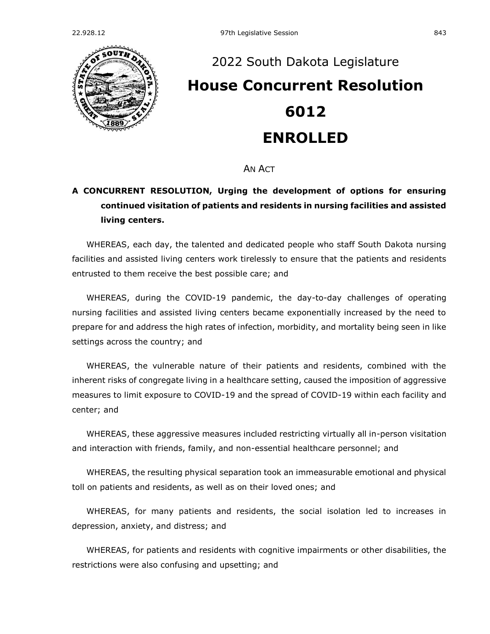

## [2022 South Dakota Legislature](https://sdlegislature.gov/Session/Bills/64) **[House Concurrent Resolution](https://sdlegislature.gov/Session/Bill/23500)  [6012](https://sdlegislature.gov/Session/Bill/23500) ENROLLED**

AN ACT

## **A CONCURRENT RESOLUTION, Urging the development of options for ensuring continued visitation of patients and residents in nursing facilities and assisted living centers.**

WHEREAS, each day, the talented and dedicated people who staff South Dakota nursing facilities and assisted living centers work tirelessly to ensure that the patients and residents entrusted to them receive the best possible care; and

WHEREAS, during the COVID-19 pandemic, the day-to-day challenges of operating nursing facilities and assisted living centers became exponentially increased by the need to prepare for and address the high rates of infection, morbidity, and mortality being seen in like settings across the country; and

WHEREAS, the vulnerable nature of their patients and residents, combined with the inherent risks of congregate living in a healthcare setting, caused the imposition of aggressive measures to limit exposure to COVID-19 and the spread of COVID-19 within each facility and center; and

WHEREAS, these aggressive measures included restricting virtually all in-person visitation and interaction with friends, family, and non-essential healthcare personnel; and

WHEREAS, the resulting physical separation took an immeasurable emotional and physical toll on patients and residents, as well as on their loved ones; and

WHEREAS, for many patients and residents, the social isolation led to increases in depression, anxiety, and distress; and

WHEREAS, for patients and residents with cognitive impairments or other disabilities, the restrictions were also confusing and upsetting; and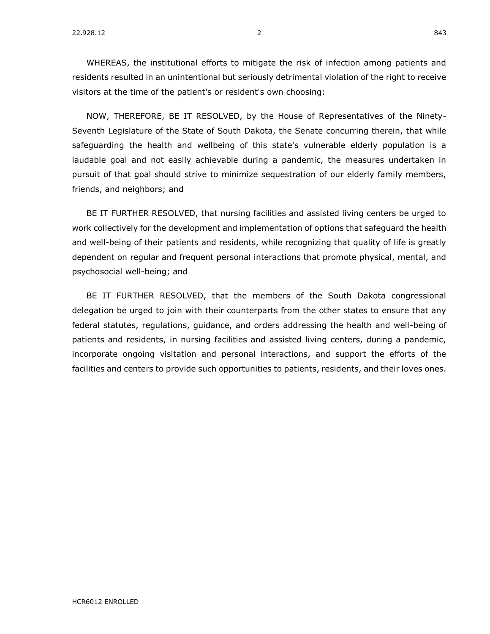WHEREAS, the institutional efforts to mitigate the risk of infection among patients and residents resulted in an unintentional but seriously detrimental violation of the right to receive visitors at the time of the patient's or resident's own choosing:

NOW, THEREFORE, BE IT RESOLVED, by the House of Representatives of the Ninety-Seventh Legislature of the State of South Dakota, the Senate concurring therein, that while safeguarding the health and wellbeing of this state's vulnerable elderly population is a laudable goal and not easily achievable during a pandemic, the measures undertaken in pursuit of that goal should strive to minimize sequestration of our elderly family members, friends, and neighbors; and

BE IT FURTHER RESOLVED, that nursing facilities and assisted living centers be urged to work collectively for the development and implementation of options that safeguard the health and well-being of their patients and residents, while recognizing that quality of life is greatly dependent on regular and frequent personal interactions that promote physical, mental, and psychosocial well-being; and

BE IT FURTHER RESOLVED, that the members of the South Dakota congressional delegation be urged to join with their counterparts from the other states to ensure that any federal statutes, regulations, guidance, and orders addressing the health and well-being of patients and residents, in nursing facilities and assisted living centers, during a pandemic, incorporate ongoing visitation and personal interactions, and support the efforts of the facilities and centers to provide such opportunities to patients, residents, and their loves ones.